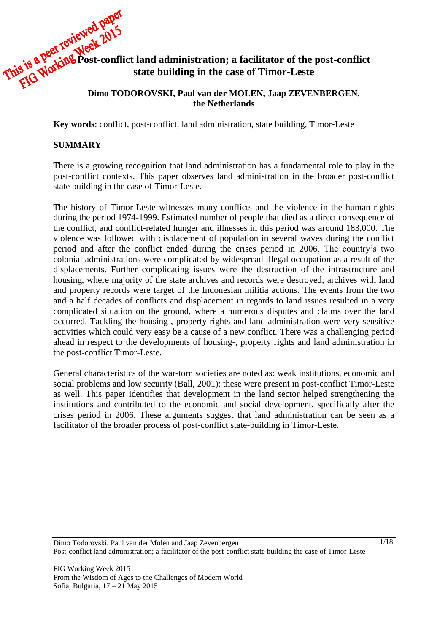# **Post-conflict land administration; a facilitator of the post-conflict state building in the case of Timor-Leste**

### **Dimo TODOROVSKI, Paul van der MOLEN, Jaap ZEVENBERGEN, the Netherlands**

**Key words**: conflict, post-conflict, land administration, state building, Timor-Leste

### **SUMMARY**

There is a growing recognition that land administration has a fundamental role to play in the post-conflict contexts. This paper observes land administration in the broader post-conflict state building in the case of Timor-Leste.

The history of Timor-Leste witnesses many conflicts and the violence in the human rights during the period 1974-1999. Estimated number of people that died as a direct consequence of the conflict, and conflict-related hunger and illnesses in this period was around 183,000. The violence was followed with displacement of population in several waves during the conflict period and after the conflict ended during the crises period in 2006. The country's two colonial administrations were complicated by widespread illegal occupation as a result of the displacements. Further complicating issues were the destruction of the infrastructure and housing, where majority of the state archives and records were destroyed; archives with land and property records were target of the Indonesian militia actions. The events from the two and a half decades of conflicts and displacement in regards to land issues resulted in a very complicated situation on the ground, where a numerous disputes and claims over the land occurred. Tackling the housing-, property rights and land administration were very sensitive activities which could very easy be a cause of a new conflict. There was a challenging period ahead in respect to the developments of housing-, property rights and land administration in the post-conflict Timor-Leste.

General characteristics of the war-torn societies are noted as: weak institutions, economic and social problems and low security [\(Ball, 2001\)](#page-14-0); these were present in post-conflict Timor-Leste as well. This paper identifies that development in the land sector helped strengthening the institutions and contributed to the economic and social development, specifically after the crises period in 2006. These arguments suggest that land administration can be seen as a facilitator of the broader process of post-conflict state-building in Timor-Leste.

Dimo Todorovski, Paul van der Molen and Jaap Zevenbergen Post-conflict land administration; a facilitator of the post-conflict state building the case of Timor-Leste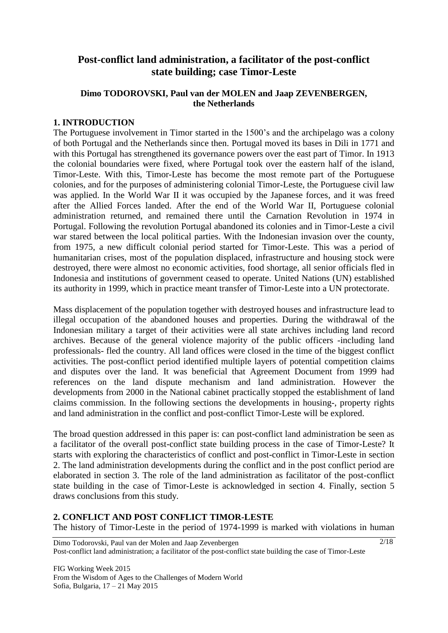# **Post-conflict land administration, a facilitator of the post-conflict state building; case Timor-Leste**

### **Dimo TODOROVSKI, Paul van der MOLEN and Jaap ZEVENBERGEN, the Netherlands**

### **1. INTRODUCTION**

The Portuguese involvement in Timor started in the 1500's and the archipelago was a colony of both Portugal and the Netherlands since then. Portugal moved its bases in Dili in 1771 and with this Portugal has strengthened its governance powers over the east part of Timor. In 1913 the colonial boundaries were fixed, where Portugal took over the eastern half of the island, Timor-Leste. With this, Timor-Leste has become the most remote part of the Portuguese colonies, and for the purposes of administering colonial Timor-Leste, the Portuguese civil law was applied. In the World War II it was occupied by the Japanese forces, and it was freed after the Allied Forces landed. After the end of the World War II, Portuguese colonial administration returned, and remained there until the Carnation Revolution in 1974 in Portugal. Following the revolution Portugal abandoned its colonies and in Timor-Leste a civil war stared between the local political parties. With the Indonesian invasion over the county, from 1975, a new difficult colonial period started for Timor-Leste. This was a period of humanitarian crises, most of the population displaced, infrastructure and housing stock were destroyed, there were almost no economic activities, food shortage, all senior officials fled in Indonesia and institutions of government ceased to operate. United Nations (UN) established its authority in 1999, which in practice meant transfer of Timor-Leste into a UN protectorate.

Mass displacement of the population together with destroyed houses and infrastructure lead to illegal occupation of the abandoned houses and properties. During the withdrawal of the Indonesian military a target of their activities were all state archives including land record archives. Because of the general violence majority of the public officers -including land professionals- fled the country. All land offices were closed in the time of the biggest conflict activities. The post-conflict period identified multiple layers of potential competition claims and disputes over the land. It was beneficial that Agreement Document from 1999 had references on the land dispute mechanism and land administration. However the developments from 2000 in the National cabinet practically stopped the establishment of land claims commission. In the following sections the developments in housing-, property rights and land administration in the conflict and post-conflict Timor-Leste will be explored.

The broad question addressed in this paper is: can post-conflict land administration be seen as a facilitator of the overall post-conflict state building process in the case of Timor-Leste? It starts with exploring the characteristics of conflict and post-conflict in Timor-Leste in section 2. The land administration developments during the conflict and in the post conflict period are elaborated in section 3. The role of the land administration as facilitator of the post-conflict state building in the case of Timor-Leste is acknowledged in section 4. Finally, section 5 draws conclusions from this study.

# **2. CONFLICT AND POST CONFLICT TIMOR-LESTE**

The history of Timor-Leste in the period of 1974-1999 is marked with violations in human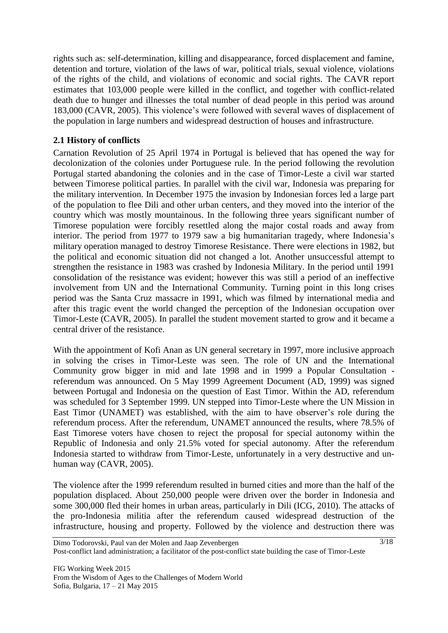rights such as: self-determination, killing and disappearance, forced displacement and famine, detention and torture, violation of the laws of war, political trials, sexual violence, violations of the rights of the child, and violations of economic and social rights. The CAVR report estimates that 103,000 people were killed in the conflict, and together with conflict-related death due to hunger and illnesses the total number of dead people in this period was around 183,000 [\(CAVR, 2005\)](#page-14-1). This violence's were followed with several waves of displacement of the population in large numbers and widespread destruction of houses and infrastructure.

### **2.1 History of conflicts**

Carnation Revolution of 25 April 1974 in Portugal is believed that has opened the way for decolonization of the colonies under Portuguese rule. In the period following the revolution Portugal started abandoning the colonies and in the case of Timor-Leste a civil war started between Timorese political parties. In parallel with the civil war, Indonesia was preparing for the military intervention. In December 1975 the invasion by Indonesian forces led a large part of the population to flee Dili and other urban centers, and they moved into the interior of the country which was mostly mountainous. In the following three years significant number of Timorese population were forcibly resettled along the major costal roads and away from interior. The period from 1977 to 1979 saw a big humanitarian tragedy, where Indonesia's military operation managed to destroy Timorese Resistance. There were elections in 1982, but the political and economic situation did not changed a lot. Another unsuccessful attempt to strengthen the resistance in 1983 was crashed by Indonesia Military. In the period until 1991 consolidation of the resistance was evident; however this was still a period of an ineffective involvement from UN and the International Community. Turning point in this long crises period was the Santa Cruz massacre in 1991, which was filmed by international media and after this tragic event the world changed the perception of the Indonesian occupation over Timor-Leste [\(CAVR, 2005\)](#page-14-1). In parallel the student movement started to grow and it became a central driver of the resistance.

With the appointment of Kofi Anan as UN general secretary in 1997, more inclusive approach in solving the crises in Timor-Leste was seen. The role of UN and the International Community grow bigger in mid and late 1998 and in 1999 a Popular Consultation referendum was announced. On 5 May 1999 Agreement Document [\(AD, 1999\)](#page-14-2) was signed between Portugal and Indonesia on the question of East Timor. Within the AD, referendum was scheduled for 3 September 1999. UN stepped into Timor-Leste where the UN Mission in East Timor (UNAMET) was established, with the aim to have observer's role during the referendum process. After the referendum, UNAMET announced the results, where 78.5% of East Timorese voters have chosen to reject the proposal for special autonomy within the Republic of Indonesia and only 21.5% voted for special autonomy. After the referendum Indonesia started to withdraw from Timor-Leste, unfortunately in a very destructive and unhuman way [\(CAVR, 2005\)](#page-14-1).

The violence after the 1999 referendum resulted in burned cities and more than the half of the population displaced. About 250,000 people were driven over the border in Indonesia and some 300,000 fled their homes in urban areas, particularly in Dili [\(ICG, 2010\)](#page-15-0). The attacks of the pro-Indonesia militia after the referendum caused widespread destruction of the infrastructure, housing and property. Followed by the violence and destruction there was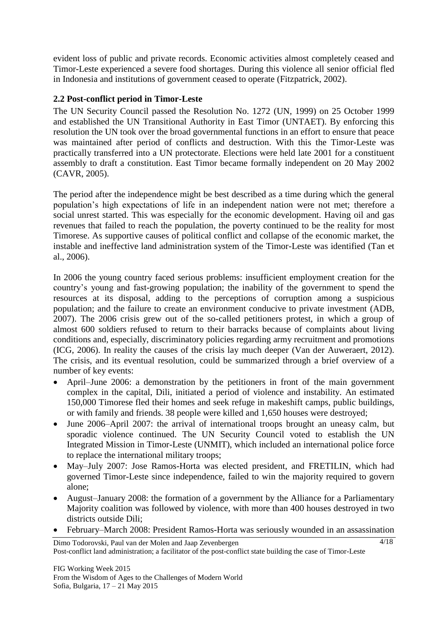evident loss of public and private records. Economic activities almost completely ceased and Timor-Leste experienced a severe food shortages. During this violence all senior official fled in Indonesia and institutions of government ceased to operate [\(Fitzpatrick, 2002\)](#page-14-3).

### **2.2 Post-conflict period in Timor-Leste**

The UN Security Council passed the Resolution No. 1272 [\(UN, 1999\)](#page-16-0) on 25 October 1999 and established the UN Transitional Authority in East Timor (UNTAET). By enforcing this resolution the UN took over the broad governmental functions in an effort to ensure that peace was maintained after period of conflicts and destruction. With this the Timor-Leste was practically transferred into a UN protectorate. Elections were held late 2001 for a constituent assembly to draft a constitution. East Timor became formally independent on 20 May 2002 [\(CAVR, 2005\)](#page-14-1).

The period after the independence might be best described as a time during which the general population's high expectations of life in an independent nation were not met; therefore a social unrest started. This was especially for the economic development. Having oil and gas revenues that failed to reach the population, the poverty continued to be the reality for most Timorese. As supportive causes of political conflict and collapse of the economic market, the instable and ineffective land administration system of the Timor-Leste was identified [\(Tan et](#page-15-1)  [al., 2006\)](#page-15-1).

In 2006 the young country faced serious problems: insufficient employment creation for the country's young and fast-growing population; the inability of the government to spend the resources at its disposal, adding to the perceptions of corruption among a suspicious population; and the failure to create an environment conducive to private investment [\(ADB,](#page-14-4)  [2007\)](#page-14-4). The 2006 crisis grew out of the so-called petitioners protest, in which a group of almost 600 soldiers refused to return to their barracks because of complaints about living conditions and, especially, discriminatory policies regarding army recruitment and promotions [\(ICG, 2006\)](#page-15-2). In reality the causes of the crisis lay much deeper [\(Van der Auweraert, 2012\)](#page-16-1). The crisis, and its eventual resolution, could be summarized through a brief overview of a number of key events:

- April–June 2006: a demonstration by the petitioners in front of the main government complex in the capital, Dili, initiated a period of violence and instability. An estimated 150,000 Timorese fled their homes and seek refuge in makeshift camps, public buildings, or with family and friends. 38 people were killed and 1,650 houses were destroyed;
- June 2006–April 2007: the arrival of international troops brought an uneasy calm, but sporadic violence continued. The UN Security Council voted to establish the UN Integrated Mission in Timor-Leste (UNMIT), which included an international police force to replace the international military troops;
- May–July 2007: Jose Ramos-Horta was elected president, and FRETILIN, which had governed Timor-Leste since independence, failed to win the majority required to govern alone;
- August–January 2008: the formation of a government by the Alliance for a Parliamentary Majority coalition was followed by violence, with more than 400 houses destroyed in two districts outside Dili;
- February–March 2008: President Ramos-Horta was seriously wounded in an assassination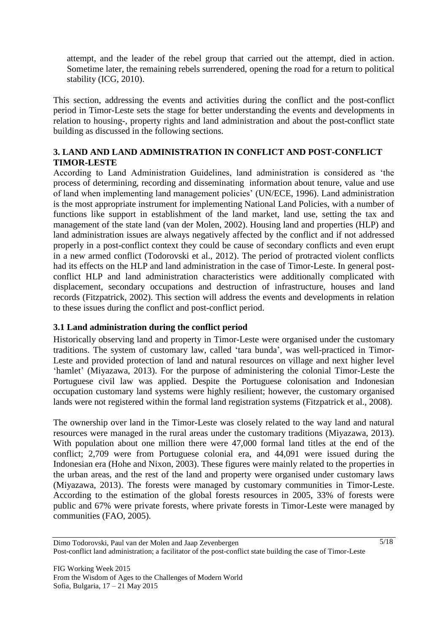attempt, and the leader of the rebel group that carried out the attempt, died in action. Sometime later, the remaining rebels surrendered, opening the road for a return to political stability [\(ICG, 2010\)](#page-15-0).

This section, addressing the events and activities during the conflict and the post-conflict period in Timor-Leste sets the stage for better understanding the events and developments in relation to housing-, property rights and land administration and about the post-conflict state building as discussed in the following sections.

### **3. LAND AND LAND ADMINISTRATION IN CONFLICT AND POST-CONFLICT TIMOR-LESTE**

According to Land Administration Guidelines, land administration is considered as 'the process of determining, recording and disseminating information about tenure, value and use of land when implementing land management policies' [\(UN/ECE, 1996\)](#page-16-2). Land administration is the most appropriate instrument for implementing National Land Policies, with a number of functions like support in establishment of the land market, land use, setting the tax and management of the state land [\(van der Molen, 2002\)](#page-16-3). Housing land and properties (HLP) and land administration issues are always negatively affected by the conflict and if not addressed properly in a post-conflict context they could be cause of secondary conflicts and even erupt in a new armed conflict [\(Todorovski et al., 2012\)](#page-15-3). The period of protracted violent conflicts had its effects on the HLP and land administration in the case of Timor-Leste. In general postconflict HLP and land administration characteristics were additionally complicated with displacement, secondary occupations and destruction of infrastructure, houses and land records [\(Fitzpatrick, 2002\)](#page-14-3). This section will address the events and developments in relation to these issues during the conflict and post-conflict period.

## **3.1 Land administration during the conflict period**

Historically observing land and property in Timor-Leste were organised under the customary traditions. The system of customary law, called 'tara bunda', was well-practiced in Timor-Leste and provided protection of land and natural resources on village and next higher level 'hamlet' [\(Miyazawa, 2013\)](#page-15-4). For the purpose of administering the colonial Timor-Leste the Portuguese civil law was applied. Despite the Portuguese colonisation and Indonesian occupation customary land systems were highly resilient; however, the customary organised lands were not registered within the formal land registration systems (Fitzpatrick [et al., 2008\)](#page-14-5).

The ownership over land in the Timor-Leste was closely related to the way land and natural resources were managed in the rural areas under the customary traditions [\(Miyazawa, 2013\)](#page-15-4). With population about one million there were 47,000 formal land titles at the end of the conflict; 2,709 were from Portuguese colonial era, and 44,091 were issued during the Indonesian era [\(Hohe and Nixon, 2003\)](#page-14-6). These figures were mainly related to the properties in the urban areas, and the rest of the land and property were organised under customary laws [\(Miyazawa, 2013\)](#page-15-4). The forests were managed by customary communities in Timor-Leste. According to the estimation of the global forests resources in 2005, 33% of forests were public and 67% were private forests, where private forests in Timor-Leste were managed by communities [\(FAO, 2005\)](#page-14-7).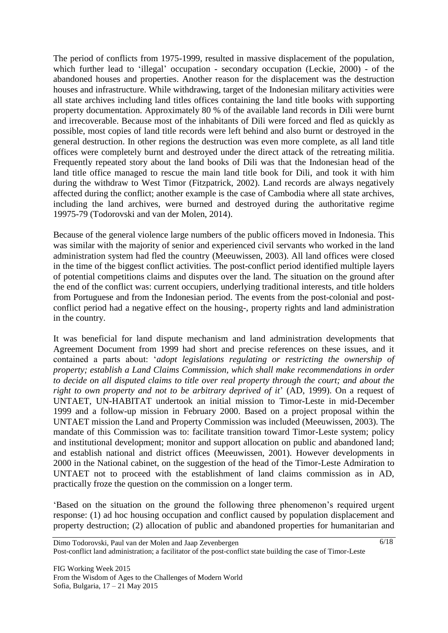The period of conflicts from 1975-1999, resulted in massive displacement of the population, which further lead to 'illegal' occupation - secondary occupation [\(Leckie, 2000\)](#page-15-5) - of the abandoned houses and properties. Another reason for the displacement was the destruction houses and infrastructure. While withdrawing, target of the Indonesian military activities were all state archives including land titles offices containing the land title books with supporting property documentation. Approximately 80 % of the available land records in Dili were burnt and irrecoverable. Because most of the inhabitants of Dili were forced and fled as quickly as possible, most copies of land title records were left behind and also burnt or destroyed in the general destruction. In other regions the destruction was even more complete, as all land title offices were completely burnt and destroyed under the direct attack of the retreating militia. Frequently repeated story about the land books of Dili was that the Indonesian head of the land title office managed to rescue the main land title book for Dili, and took it with him during the withdraw to West Timor [\(Fitzpatrick, 2002\)](#page-14-3). Land records are always negatively affected during the conflict; another example is the case of Cambodia where all state archives, including the land archives, were burned and destroyed during the authoritative regime 19975-79 [\(Todorovski and van der Molen, 2014\)](#page-15-6).

Because of the general violence large numbers of the public officers moved in Indonesia. This was similar with the majority of senior and experienced civil servants who worked in the land administration system had fled the country [\(Meeuwissen, 2003\)](#page-15-7). All land offices were closed in the time of the biggest conflict activities. The post-conflict period identified multiple layers of potential competitions claims and disputes over the land. The situation on the ground after the end of the conflict was: current occupiers, underlying traditional interests, and title holders from Portuguese and from the Indonesian period. The events from the post-colonial and postconflict period had a negative effect on the housing-, property rights and land administration in the country.

It was beneficial for land dispute mechanism and land administration developments that Agreement Document from 1999 had short and precise references on these issues, and it contained a parts about: '*adopt legislations regulating or restricting the ownership of property; establish a Land Claims Commission, which shall make recommendations in order to decide on all disputed claims to title over real property through the court; and about the right to own property and not to be arbitrary deprived of it*' [\(AD, 1999\)](#page-14-2). On a request of UNTAET, UN-HABITAT undertook an initial mission to Timor-Leste in mid-December 1999 and a follow-up mission in February 2000. Based on a project proposal within the UNTAET mission the Land and Property Commission was included [\(Meeuwissen, 2003\)](#page-15-7). The mandate of this Commission was to: facilitate transition toward Timor-Leste system; policy and institutional development; monitor and support allocation on public and abandoned land; and establish national and district offices [\(Meeuwissen, 2001\)](#page-15-8). However developments in 2000 in the National cabinet, on the suggestion of the head of the Timor-Leste Admiration to UNTAET not to proceed with the establishment of land claims commission as in AD, practically froze the question on the commission on a longer term.

'Based on the situation on the ground the following three phenomenon's required urgent response: (1) ad hoc housing occupation and conflict caused by population displacement and property destruction; (2) allocation of public and abandoned properties for humanitarian and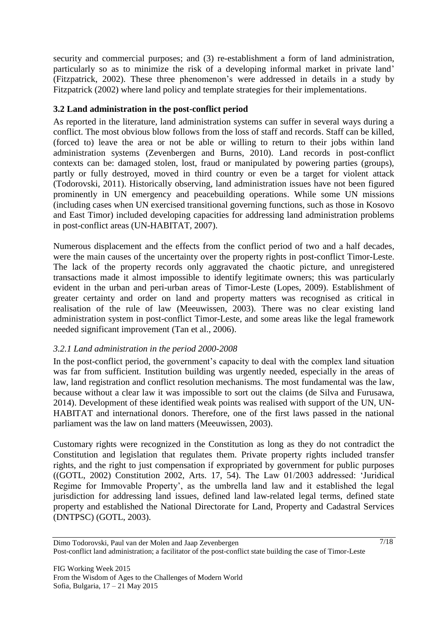security and commercial purposes; and (3) re-establishment a form of land administration, particularly so as to minimize the risk of a developing informal market in private land' [\(Fitzpatrick, 2002\)](#page-14-3). These three phenomenon's were addressed in details in a study by Fitzpatrick (2002) where land policy and template strategies for their implementations.

### **3.2 Land administration in the post-conflict period**

As reported in the literature, land administration systems can suffer in several ways during a conflict. The most obvious blow follows from the loss of staff and records. Staff can be killed, (forced to) leave the area or not be able or willing to return to their jobs within land administration systems [\(Zevenbergen and Burns, 2010\)](#page-16-4). Land records in post-conflict contexts can be: damaged stolen, lost, fraud or manipulated by powering parties (groups), partly or fully destroyed, moved in third country or even be a target for violent attack [\(Todorovski, 2011\)](#page-15-9). Historically observing, land administration issues have not been figured prominently in UN emergency and peacebuilding operations. While some UN missions (including cases when UN exercised transitional governing functions, such as those in Kosovo and East Timor) included developing capacities for addressing land administration problems in post-conflict areas [\(UN-HABITAT, 2007\)](#page-15-10).

Numerous displacement and the effects from the conflict period of two and a half decades, were the main causes of the uncertainty over the property rights in post-conflict Timor-Leste. The lack of the property records only aggravated the chaotic picture, and unregistered transactions made it almost impossible to identify legitimate owners; this was particularly evident in the urban and peri-urban areas of Timor-Leste [\(Lopes, 2009\)](#page-15-11). Establishment of greater certainty and order on land and property matters was recognised as critical in realisation of the rule of law [\(Meeuwissen, 2003\)](#page-15-7). There was no clear existing land administration system in post-conflict Timor-Leste, and some areas like the legal framework needed significant improvement [\(Tan et al., 2006\)](#page-15-1).

## *3.2.1 Land administration in the period 2000-2008*

In the post-conflict period, the government's capacity to deal with the complex land situation was far from sufficient. Institution building was urgently needed, especially in the areas of law, land registration and conflict resolution mechanisms. The most fundamental was the law, because without a clear law it was impossible to sort out the claims [\(de Silva and Furusawa,](#page-14-8)  [2014\)](#page-14-8). Development of these identified weak points was realised with support of the UN, UN-HABITAT and international donors. Therefore, one of the first laws passed in the national parliament was the law on land matters [\(Meeuwissen, 2003\)](#page-15-7).

Customary rights were recognized in the Constitution as long as they do not contradict the Constitution and legislation that regulates them. Private property rights included transfer rights, and the right to just compensation if expropriated by government for public purposes ([\(GOTL, 2002\)](#page-14-9) Constitution 2002, Arts. 17, 54). The Law 01/2003 addressed: 'Juridical Regime for Immovable Property', as the umbrella land law and it established the legal jurisdiction for addressing land issues, defined land law-related legal terms, defined state property and established the National Directorate for Land, Property and Cadastral Services (DNTPSC) (GOTL, 2003).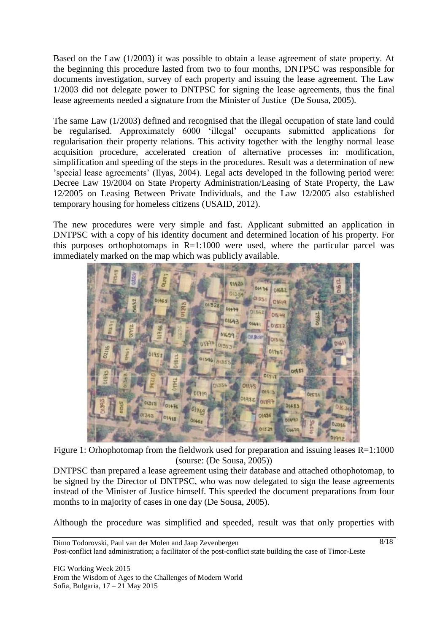Based on the Law (1/2003) it was possible to obtain a lease agreement of state property. At the beginning this procedure lasted from two to four months, DNTPSC was responsible for documents investigation, survey of each property and issuing the lease agreement. The Law 1/2003 did not delegate power to DNTPSC for signing the lease agreements, thus the final lease agreements needed a signature from the Minister of Justice [\(De Sousa, 2005\)](#page-14-10).

The same Law (1/2003) defined and recognised that the illegal occupation of state land could be regularised. Approximately 6000 'illegal' occupants submitted applications for regularisation their property relations. This activity together with the lengthy normal lease acquisition procedure, accelerated creation of alternative processes in: modification, simplification and speeding of the steps in the procedures. Result was a determination of new 'special lease agreements' (Ilyas, 2004). Legal acts developed in the following period were: Decree Law 19/2004 on State Property Administration/Leasing of State Property, the Law 12/2005 on Leasing Between Private Individuals, and the Law 12/2005 also established temporary housing for homeless citizens [\(USAID, 2012\)](#page-16-5).

The new procedures were very simple and fast. Applicant submitted an application in DNTPSC with a copy of his identity document and determined location of his property. For this purposes orthophotomaps in  $R=1:1000$  were used, where the particular parcel was immediately marked on the map which was publicly available.



Figure 1: Orhophotomap from the fieldwork used for preparation and issuing leases R=1:1000 (sourse: [\(De Sousa, 2005\)](#page-14-10))

DNTPSC than prepared a lease agreement using their database and attached othophotomap, to be signed by the Director of DNTPSC, who was now delegated to sign the lease agreements instead of the Minister of Justice himself. This speeded the document preparations from four months to in majority of cases in one day [\(De Sousa, 2005\)](#page-14-10).

Although the procedure was simplified and speeded, result was that only properties with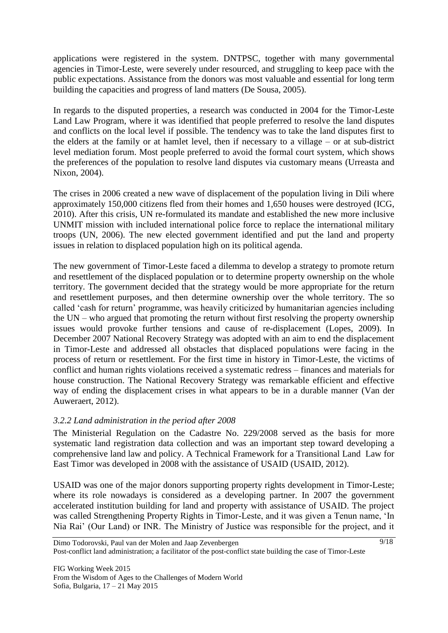applications were registered in the system. DNTPSC, together with many governmental agencies in Timor-Leste, were severely under resourced, and struggling to keep pace with the public expectations. Assistance from the donors was most valuable and essential for long term building the capacities and progress of land matters [\(De Sousa, 2005\)](#page-14-10).

In regards to the disputed properties, a research was conducted in 2004 for the Timor-Leste Land Law Program, where it was identified that people preferred to resolve the land disputes and conflicts on the local level if possible. The tendency was to take the land disputes first to the elders at the family or at hamlet level, then if necessary to a village – or at sub-district level mediation forum. Most people preferred to avoid the formal court system, which shows the preferences of the population to resolve land disputes via customary means [\(Urreasta and](#page-16-6)  [Nixon, 2004\)](#page-16-6).

The crises in 2006 created a new wave of displacement of the population living in Dili where approximately 150,000 citizens fled from their homes and 1,650 houses were destroyed [\(ICG,](#page-15-0)  [2010\)](#page-15-0). After this crisis, UN re-formulated its mandate and established the new more inclusive UNMIT mission with included international police force to replace the international military troops [\(UN, 2006\)](#page-16-7). The new elected government identified and put the land and property issues in relation to displaced population high on its political agenda.

The new government of Timor-Leste faced a dilemma to develop a strategy to promote return and resettlement of the displaced population or to determine property ownership on the whole territory. The government decided that the strategy would be more appropriate for the return and resettlement purposes, and then determine ownership over the whole territory. The so called 'cash for return' programme, was heavily criticized by humanitarian agencies including the UN – who argued that promoting the return without first resolving the property ownership issues would provoke further tensions and cause of re-displacement [\(Lopes, 2009\)](#page-15-11). In December 2007 National Recovery Strategy was adopted with an aim to end the displacement in Timor-Leste and addressed all obstacles that displaced populations were facing in the process of return or resettlement. For the first time in history in Timor-Leste, the victims of conflict and human rights violations received a systematic redress – finances and materials for house construction. The National Recovery Strategy was remarkable efficient and effective way of ending the displacement crises in what appears to be in a durable manner [\(Van der](#page-16-1)  [Auweraert, 2012\)](#page-16-1).

## *3.2.2 Land administration in the period after 2008*

The Ministerial Regulation on the Cadastre No. 229/2008 served as the basis for more systematic land registration data collection and was an important step toward developing a comprehensive land law and policy. A Technical Framework for a Transitional Land Law for East Timor was developed in 2008 with the assistance of USAID [\(USAID, 2012\)](#page-16-5).

USAID was one of the major donors supporting property rights development in Timor-Leste; where its role nowadays is considered as a developing partner. In 2007 the government accelerated institution building for land and property with assistance of USAID. The project was called Strengthening Property Rights in Timor-Leste, and it was given a Tenun name, 'In Nia Rai' (Our Land) or INR. The Ministry of Justice was responsible for the project, and it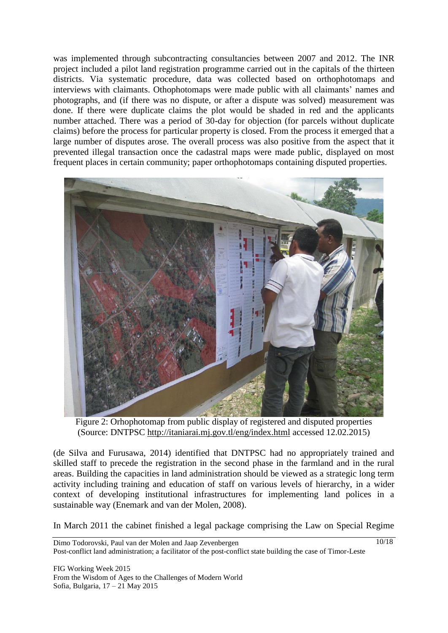was implemented through subcontracting consultancies between 2007 and 2012. The INR project included a pilot land registration programme carried out in the capitals of the thirteen districts. Via systematic procedure, data was collected based on orthophotomaps and interviews with claimants. Othophotomaps were made public with all claimants' names and photographs, and (if there was no dispute, or after a dispute was solved) measurement was done. If there were duplicate claims the plot would be shaded in red and the applicants number attached. There was a period of 30-day for objection (for parcels without duplicate claims) before the process for particular property is closed. From the process it emerged that a large number of disputes arose. The overall process was also positive from the aspect that it prevented illegal transaction once the cadastral maps were made public, displayed on most frequent places in certain community; paper orthophotomaps containing disputed properties.



Figure 2: Orhophotomap from public display of registered and disputed properties (Source: DNTPSC <http://itaniarai.mj.gov.tl/eng/index.html> accessed 12.02.2015)

[\(de Silva and Furusawa,](#page-14-8) 2014) identified that DNTPSC had no appropriately trained and skilled staff to precede the registration in the second phase in the farmland and in the rural areas. Building the capacities in land administration should be viewed as a strategic long term activity including training and education of staff on various levels of hierarchy, in a wider context of developing institutional infrastructures for implementing land polices in a sustainable way [\(Enemark and van der Molen, 2008\)](#page-14-11).

In March 2011 the cabinet finished a legal package comprising the Law on Special Regime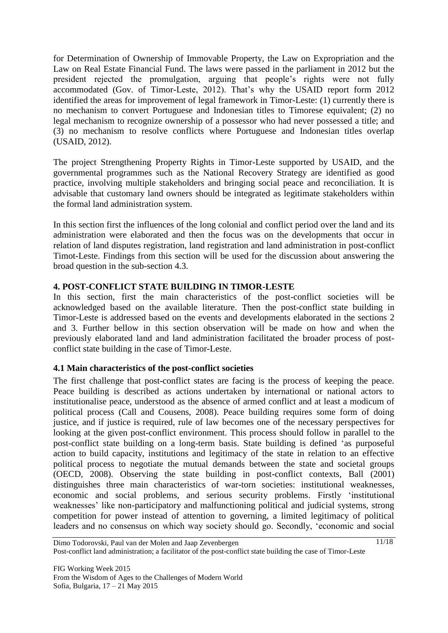for Determination of Ownership of Immovable Property, the Law on Expropriation and the Law on Real Estate Financial Fund. The laws were passed in the parliament in 2012 but the president rejected the promulgation, arguing that people's rights were not fully accommodated (Gov. of Timor-Leste, 2012). That's why the USAID report form 2012 identified the areas for improvement of legal framework in Timor-Leste: (1) currently there is no mechanism to convert Portuguese and Indonesian titles to Timorese equivalent; (2) no legal mechanism to recognize ownership of a possessor who had never possessed a title; and (3) no mechanism to resolve conflicts where Portuguese and Indonesian titles overlap [\(USAID, 2012\)](#page-16-5).

The project Strengthening Property Rights in Timor-Leste supported by USAID, and the governmental programmes such as the National Recovery Strategy are identified as good practice, involving multiple stakeholders and bringing social peace and reconciliation. It is advisable that customary land owners should be integrated as legitimate stakeholders within the formal land administration system.

In this section first the influences of the long colonial and conflict period over the land and its administration were elaborated and then the focus was on the developments that occur in relation of land disputes registration, land registration and land administration in post-conflict Timot-Leste. Findings from this section will be used for the discussion about answering the broad question in the sub-section 4.3.

### **4. POST-CONFLICT STATE BUILDING IN TIMOR-LESTE**

In this section, first the main characteristics of the post-conflict societies will be acknowledged based on the available literature. Then the post-conflict state building in Timor-Leste is addressed based on the events and developments elaborated in the sections 2 and 3. Further bellow in this section observation will be made on how and when the previously elaborated land and land administration facilitated the broader process of postconflict state building in the case of Timor-Leste.

### **4.1 Main characteristics of the post-conflict societies**

The first challenge that post-conflict states are facing is the process of keeping the peace. Peace building is described as actions undertaken by international or national actors to institutionalise peace, understood as the absence of armed conflict and at least a modicum of political process [\(Call and Cousens, 2008\)](#page-14-12). Peace building requires some form of doing justice, and if justice is required, rule of law becomes one of the necessary perspectives for looking at the given post-conflict environment. This process should follow in parallel to the post-conflict state building on a long-term basis. State building is defined 'as purposeful action to build capacity, institutions and legitimacy of the state in relation to an effective political process to negotiate the mutual demands between the state and societal groups [\(OECD, 2008\)](#page-15-12). Observing the state building in post-conflict contexts, Ball (2001) distinguishes three main characteristics of war-torn societies: institutional weaknesses, economic and social problems, and serious security problems. Firstly 'institutional weaknesses' like non-participatory and malfunctioning political and judicial systems, strong competition for power instead of attention to governing, a limited legitimacy of political leaders and no consensus on which way society should go. Secondly, 'economic and social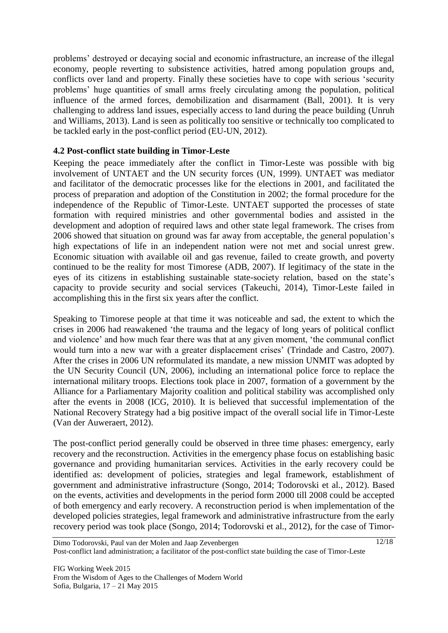problems' destroyed or decaying social and economic infrastructure, an increase of the illegal economy, people reverting to subsistence activities, hatred among population groups and, conflicts over land and property. Finally these societies have to cope with serious 'security problems' huge quantities of small arms freely circulating among the population, political influence of the armed forces, demobilization and disarmament [\(Ball, 2001\)](#page-14-0). It is very challenging to address land issues, especially access to land during the peace building [\(Unruh](#page-16-8)  [and Williams, 2013\)](#page-16-8). Land is seen as politically too sensitive or technically too complicated to be tackled early in the post-conflict period [\(EU-UN, 2012\)](#page-14-13).

### **4.2 Post-conflict state building in Timor-Leste**

Keeping the peace immediately after the conflict in Timor-Leste was possible with big involvement of UNTAET and the UN security forces [\(UN, 1999\)](#page-16-0). UNTAET was mediator and facilitator of the democratic processes like for the elections in 2001, and facilitated the process of preparation and adoption of the Constitution in 2002; the formal procedure for the independence of the Republic of Timor-Leste. UNTAET supported the processes of state formation with required ministries and other governmental bodies and assisted in the development and adoption of required laws and other state legal framework. The crises from 2006 showed that situation on ground was far away from acceptable, the general population's high expectations of life in an independent nation were not met and social unrest grew. Economic situation with available oil and gas revenue, failed to create growth, and poverty continued to be the reality for most Timorese [\(ADB, 2007\)](#page-14-4). If legitimacy of the state in the eyes of its citizens in establishing sustainable state-society relation, based on the state's capacity to provide security and social services [\(Takeuchi, 2014\)](#page-15-13), Timor-Leste failed in accomplishing this in the first six years after the conflict.

Speaking to Timorese people at that time it was noticeable and sad, the extent to which the crises in 2006 had reawakened 'the trauma and the legacy of long years of political conflict and violence' and how much fear there was that at any given moment, 'the communal conflict would turn into a new war with a greater displacement crises' [\(Trindade and Castro, 2007\)](#page-15-14). After the crises in 2006 UN reformulated its mandate, a new mission UNMIT was adopted by the UN Security Council [\(UN, 2006\)](#page-16-7), including an international police force to replace the international military troops. Elections took place in 2007, formation of a government by the Alliance for a Parliamentary Majority coalition and political stability was accomplished only after the events in 2008 [\(ICG, 2010\)](#page-15-0). It is believed that successful implementation of the National Recovery Strategy had a big positive impact of the overall social life in Timor-Leste [\(Van der Auweraert, 2012\)](#page-16-1).

The post-conflict period generally could be observed in three time phases: emergency, early recovery and the reconstruction. Activities in the emergency phase focus on establishing basic governance and providing humanitarian services. Activities in the early recovery could be identified as: development of policies, strategies and legal framework, establishment of government and administrative infrastructure [\(Songo, 2014;](#page-15-15) [Todorovski et al., 2012\)](#page-15-3). Based on the events, activities and developments in the period form 2000 till 2008 could be accepted of both emergency and early recovery. A reconstruction period is when implementation of the developed policies strategies, legal framework and administrative infrastructure from the early recovery period was took place [\(Songo, 2014;](#page-15-15) [Todorovski et al., 2012\)](#page-15-3), for the case of Timor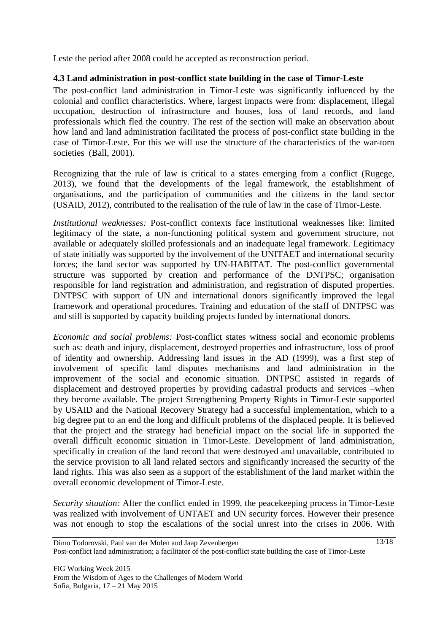Leste the period after 2008 could be accepted as reconstruction period.

### **4.3 Land administration in post-conflict state building in the case of Timor-Leste**

The post-conflict land administration in Timor-Leste was significantly influenced by the colonial and conflict characteristics. Where, largest impacts were from: displacement, illegal occupation, destruction of infrastructure and houses, loss of land records, and land professionals which fled the country. The rest of the section will make an observation about how land and land administration facilitated the process of post-conflict state building in the case of Timor-Leste. For this we will use the structure of the characteristics of the war-torn societies [\(Ball, 2001\)](#page-14-0).

Recognizing that the rule of law is critical to a states emerging from a conflict [\(Rugege,](#page-15-16)  [2013\)](#page-15-16), we found that the developments of the legal framework, the establishment of organisations, and the participation of communities and the citizens in the land sector [\(USAID, 2012\)](#page-16-5), contributed to the realisation of the rule of law in the case of Timor-Leste.

*Institutional weaknesses:* Post-conflict contexts face institutional weaknesses like: limited legitimacy of the state, a non-functioning political system and government structure, not available or adequately skilled professionals and an inadequate legal framework. Legitimacy of state initially was supported by the involvement of the UNITAET and international security forces; the land sector was supported by UN-HABITAT. The post-conflict governmental structure was supported by creation and performance of the DNTPSC; organisation responsible for land registration and administration, and registration of disputed properties. DNTPSC with support of UN and international donors significantly improved the legal framework and operational procedures. Training and education of the staff of DNTPSC was and still is supported by capacity building projects funded by international donors.

*Economic and social problems:* Post-conflict states witness social and economic problems such as: death and injury, displacement, destroyed properties and infrastructure, loss of proof of identity and ownership. Addressing land issues in the AD (1999), was a first step of involvement of specific land disputes mechanisms and land administration in the improvement of the social and economic situation. DNTPSC assisted in regards of displacement and destroyed properties by providing cadastral products and services –when they become available. The project Strengthening Property Rights in Timor-Leste supported by USAID and the National Recovery Strategy had a successful implementation, which to a big degree put to an end the long and difficult problems of the displaced people. It is believed that the project and the strategy had beneficial impact on the social life in supported the overall difficult economic situation in Timor-Leste. Development of land administration, specifically in creation of the land record that were destroyed and unavailable, contributed to the service provision to all land related sectors and significantly increased the security of the land rights. This was also seen as a support of the establishment of the land market within the overall economic development of Timor-Leste.

*Security situation:* After the conflict ended in 1999, the peacekeeping process in Timor-Leste was realized with involvement of UNTAET and UN security forces. However their presence was not enough to stop the escalations of the social unrest into the crises in 2006. With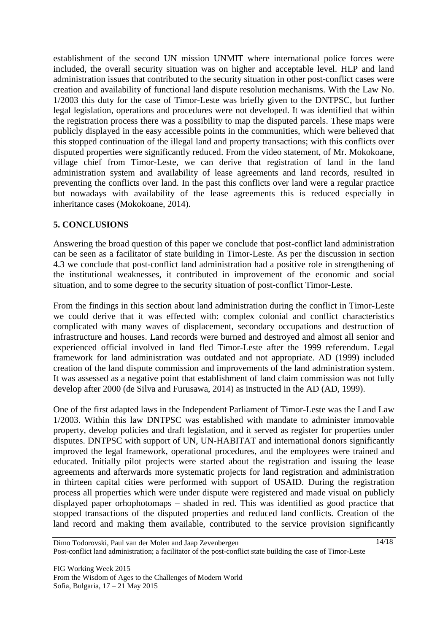establishment of the second UN mission UNMIT where international police forces were included, the overall security situation was on higher and acceptable level. HLP and land administration issues that contributed to the security situation in other post-conflict cases were creation and availability of functional land dispute resolution mechanisms. With the Law No. 1/2003 this duty for the case of Timor-Leste was briefly given to the DNTPSC, but further legal legislation, operations and procedures were not developed. It was identified that within the registration process there was a possibility to map the disputed parcels. These maps were publicly displayed in the easy accessible points in the communities, which were believed that this stopped continuation of the illegal land and property transactions; with this conflicts over disputed properties were significantly reduced. From the video statement, of Mr. Mokokoane, village chief from Timor-Leste, we can derive that registration of land in the land administration system and availability of lease agreements and land records, resulted in preventing the conflicts over land. In the past this conflicts over land were a regular practice but nowadays with availability of the lease agreements this is reduced especially in inheritance cases [\(Mokokoane, 2014\)](#page-15-17).

#### **5. CONCLUSIONS**

Answering the broad question of this paper we conclude that post-conflict land administration can be seen as a facilitator of state building in Timor-Leste. As per the discussion in section 4.3 we conclude that post-conflict land administration had a positive role in strengthening of the institutional weaknesses, it contributed in improvement of the economic and social situation, and to some degree to the security situation of post-conflict Timor-Leste.

From the findings in this section about land administration during the conflict in Timor-Leste we could derive that it was effected with: complex colonial and conflict characteristics complicated with many waves of displacement, secondary occupations and destruction of infrastructure and houses. Land records were burned and destroyed and almost all senior and experienced official involved in land fled Timor-Leste after the 1999 referendum. Legal framework for land administration was outdated and not appropriate. AD (1999) included creation of the land dispute commission and improvements of the land administration system. It was assessed as a negative point that establishment of land claim commission was not fully develop after 2000 [\(de Silva and Furusawa, 2014\)](#page-14-8) as instructed in the AD [\(AD, 1999\)](#page-14-2).

One of the first adapted laws in the Independent Parliament of Timor-Leste was the Land Law 1/2003. Within this law DNTPSC was established with mandate to administer immovable property, develop policies and draft legislation, and it served as register for properties under disputes. DNTPSC with support of UN, UN-HABITAT and international donors significantly improved the legal framework, operational procedures, and the employees were trained and educated. Initially pilot projects were started about the registration and issuing the lease agreements and afterwards more systematic projects for land registration and administration in thirteen capital cities were performed with support of USAID. During the registration process all properties which were under dispute were registered and made visual on publicly displayed paper orhophotomaps – shaded in red. This was identified as good practice that stopped transactions of the disputed properties and reduced land conflicts. Creation of the land record and making them available, contributed to the service provision significantly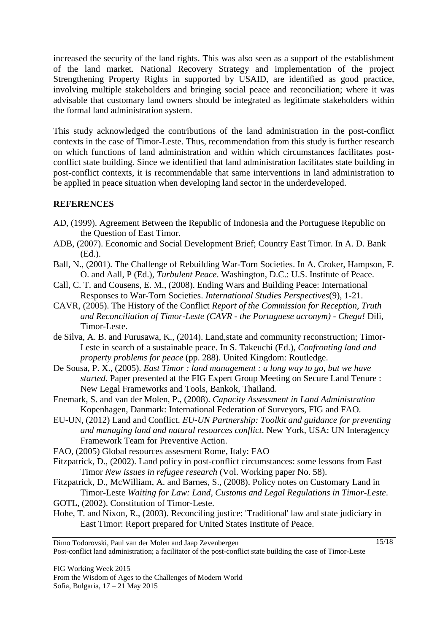increased the security of the land rights. This was also seen as a support of the establishment of the land market. National Recovery Strategy and implementation of the project Strengthening Property Rights in supported by USAID, are identified as good practice, involving multiple stakeholders and bringing social peace and reconciliation; where it was advisable that customary land owners should be integrated as legitimate stakeholders within the formal land administration system.

This study acknowledged the contributions of the land administration in the post-conflict contexts in the case of Timor-Leste. Thus, recommendation from this study is further research on which functions of land administration and within which circumstances facilitates postconflict state building. Since we identified that land administration facilitates state building in post-conflict contexts, it is recommendable that same interventions in land administration to be applied in peace situation when developing land sector in the underdeveloped.

### **REFERENCES**

- <span id="page-14-2"></span>AD, (1999). Agreement Between the Republic of Indonesia and the Portuguese Republic on the Question of East Timor.
- <span id="page-14-4"></span>ADB, (2007). Economic and Social Development Brief; Country East Timor. In A. D. Bank (Ed.).
- <span id="page-14-0"></span>Ball, N., (2001). The Challenge of Rebuilding War-Torn Societies. In A. Croker, Hampson, F. O. and Aall, P (Ed.), *Turbulent Peace*. Washington, D.C.: U.S. Institute of Peace.
- <span id="page-14-12"></span>Call, C. T. and Cousens, E. M., (2008). Ending Wars and Building Peace: International Responses to War-Torn Societies. *International Studies Perspectives*(9), 1-21.
- <span id="page-14-1"></span>CAVR, (2005). The History of the Conflict *Report of the Commission for Reception, Truth and Reconciliation of Timor-Leste (CAVR - the Portuguese acronym) - Chega!* Dili, Timor-Leste.
- <span id="page-14-8"></span>de Silva, A. B. and Furusawa, K., (2014). Land,state and community reconstruction; Timor-Leste in search of a sustainable peace. In S. Takeuchi (Ed.), *Confronting land and property problems for peace* (pp. 288). United Kingdom: Routledge.
- <span id="page-14-10"></span>De Sousa, P. X., (2005). *East Timor : land management : a long way to go, but we have started.* Paper presented at the FIG Expert Group Meeting on Secure Land Tenure : New Legal Frameworks and Tools, Bankok, Thailand.
- <span id="page-14-11"></span>Enemark, S. and van der Molen, P., (2008). *Capacity Assessment in Land Administration*  Kopenhagen, Danmark: International Federation of Surveyors, FIG and FAO.
- <span id="page-14-13"></span>EU-UN, (2012) Land and Conflict. *EU-UN Partnership: Toolkit and guidance for preventing and managing land and natural resources conflict*. New York, USA: UN Interagency Framework Team for Preventive Action.
- <span id="page-14-7"></span>FAO, (2005) Global resources assesment Rome, Italy: FAO
- <span id="page-14-3"></span>Fitzpatrick, D., (2002). Land policy in post-conflict circumstances: some lessons from East Timor *New issues in refugee research* (Vol. Working paper No. 58).
- <span id="page-14-5"></span>Fitzpatrick, D., McWilliam, A. and Barnes, S., (2008). Policy notes on Customary Land in Timor-Leste *Waiting for Law: Land, Customs and Legal Regulations in Timor-Leste*.

<span id="page-14-9"></span>GOTL, (2002). Constitution of Timor-Leste.

<span id="page-14-6"></span>Hohe, T. and Nixon, R., (2003). Reconciling justice: 'Traditional' law and state judiciary in East Timor: Report prepared for United States Institute of Peace.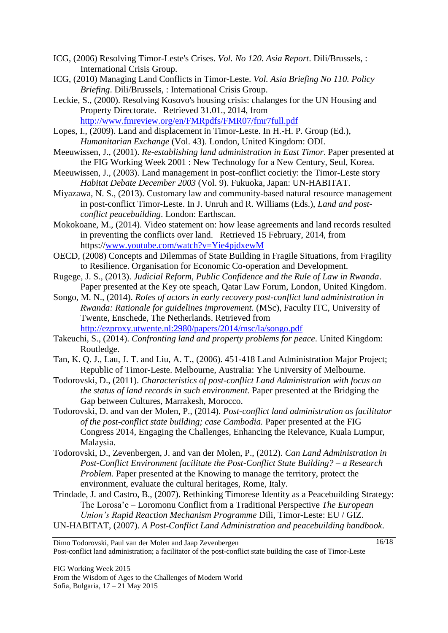- <span id="page-15-2"></span>ICG, (2006) Resolving Timor-Leste's Crises. *Vol. No 120. Asia Report*. Dili/Brussels, : International Crisis Group.
- <span id="page-15-0"></span>ICG, (2010) Managing Land Conflicts in Timor-Leste. *Vol. Asia Briefing No 110. Policy Briefing*. Dili/Brussels, : International Crisis Group.
- <span id="page-15-5"></span>Leckie, S., (2000). Resolving Kosovo's housing crisis: chalanges for the UN Housing and Property Directorate. Retrieved 31.01., 2014, from <http://www.fmreview.org/en/FMRpdfs/FMR07/fmr7full.pdf>
- <span id="page-15-11"></span>Lopes, I., (2009). Land and displacement in Timor-Leste. In H.-H. P. Group (Ed.), *Humanitarian Exchange* (Vol. 43). London, United Kingdom: ODI.
- <span id="page-15-8"></span>Meeuwissen, J., (2001). *Re-establishing land administration in East Timor*. Paper presented at the FIG Working Week 2001 : New Technology for a New Century, Seul, Korea.
- <span id="page-15-7"></span>Meeuwissen, J., (2003). Land management in post-conflict cocietiy: the Timor-Leste story *Habitat Debate December 2003* (Vol. 9). Fukuoka, Japan: UN-HABITAT.
- <span id="page-15-4"></span>Miyazawa, N. S., (2013). Customary law and community-based natural resource management in post-conflict Timor-Leste. In J. Unruh and R. Williams (Eds.), *Land and postconflict peacebuilding*. London: Earthscan.
- <span id="page-15-17"></span>Mokokoane, M., (2014). Video statement on: how lease agreements and land records resulted in preventing the conflicts over land. Retrieved 15 February, 2014, from https:/[/www.youtube.com/watch?v=Yie4pjdxewM](http://www.youtube.com/watch?v=Yie4pjdxewM)
- <span id="page-15-12"></span>OECD, (2008) Concepts and Dilemmas of State Building in Fragile Situations, from Fragility to Resilience. Organisation for Economic Co-operation and Development.
- <span id="page-15-16"></span>Rugege, J. S., (2013). *Judicial Reform, Public Confidence and the Rule of Law in Rwanda*. Paper presented at the Key ote speach, Qatar Law Forum, London, United Kingdom.
- <span id="page-15-15"></span>Songo, M. N., (2014). *Roles of actors in early recovery post-conflict land administration in Rwanda: Rationale for guidelines improvement.* (MSc), Faculty ITC, University of Twente, Enschede, The Netherlands. Retrieved from <http://ezproxy.utwente.nl:2980/papers/2014/msc/la/songo.pdf>

- <span id="page-15-13"></span>Takeuchi, S., (2014). *Confronting land and property problems for peace*. United Kingdom: Routledge.
- <span id="page-15-1"></span>Tan, K. Q. J., Lau, J. T. and Liu, A. T., (2006). 451-418 Land Administration Major Project; Republic of Timor-Leste. Melbourne, Australia: Yhe University of Melbourne.
- <span id="page-15-9"></span>Todorovski, D., (2011). *Characteristics of post-conflict Land Administration with focus on the status of land records in such environment.* Paper presented at the Bridging the Gap between Cultures, Marrakesh, Morocco.
- <span id="page-15-6"></span>Todorovski, D. and van der Molen, P., (2014). *Post-conflict land administration as facilitator of the post-conflict state building; case Cambodia.* Paper presented at the FIG Congress 2014, Engaging the Challenges, Enhancing the Relevance, Kuala Lumpur, Malaysia.
- <span id="page-15-3"></span>Todorovski, D., Zevenbergen, J. and van der Molen, P., (2012). *Can Land Administration in Post-Conflict Environment facilitate the Post-Conflict State Building? – a Research Problem.* Paper presented at the Knowing to manage the territory, protect the environment, evaluate the cultural heritages, Rome, Italy.
- <span id="page-15-14"></span><span id="page-15-10"></span>Trindade, J. and Castro, B., (2007). Rethinking Timorese Identity as a Peacebuilding Strategy: The Lorosa'e – Loromonu Conflict from a Traditional Perspective *The European Union's Rapid Reaction Mechanism Programme* Dili, Timor-Leste: EU / GIZ. UN-HABITAT, (2007). *A Post-Conflict Land Administration and peacebuilding handbook*.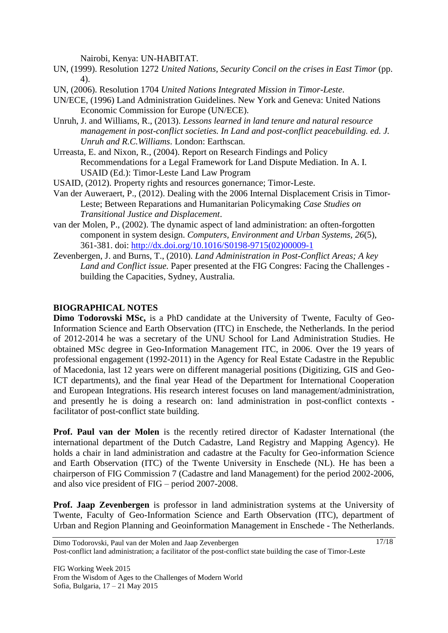Nairobi, Kenya: UN-HABITAT.

- <span id="page-16-0"></span>UN, (1999). Resolution 1272 *United Nations, Security Concil on the crises in East Timor* (pp. 4).
- <span id="page-16-7"></span>UN, (2006). Resolution 1704 *United Nations Integrated Mission in Timor-Leste*.
- <span id="page-16-2"></span>UN/ECE, (1996) Land Administration Guidelines. New York and Geneva: United Nations Economic Commission for Europe (UN/ECE).
- <span id="page-16-8"></span>Unruh, J. and Williams, R., (2013). *Lessons learned in land tenure and natural resource management in post-conflict societies. In Land and post-conflict peacebuilding. ed. J. Unruh and R.C.Williams*. London: Earthscan.
- <span id="page-16-6"></span>Urreasta, E. and Nixon, R., (2004). Report on Research Findings and Policy Recommendations for a Legal Framework for Land Dispute Mediation. In A. I. USAID (Ed.): Timor-Leste Land Law Program
- <span id="page-16-5"></span>USAID, (2012). Property rights and resources gonernance; Timor-Leste.
- <span id="page-16-1"></span>Van der Auweraert, P., (2012). Dealing with the 2006 Internal Displacement Crisis in Timor-Leste; Between Reparations and Humanitarian Policymaking *Case Studies on Transitional Justice and Displacement*.
- <span id="page-16-3"></span>van der Molen, P., (2002). The dynamic aspect of land administration: an often-forgotten component in system design. *Computers, Environment and Urban Systems, 26*(5), 361-381. doi: [http://dx.doi.org/10.1016/S0198-9715\(02\)00009-1](http://dx.doi.org/10.1016/S0198-9715(02)00009-1)
- <span id="page-16-4"></span>Zevenbergen, J. and Burns, T., (2010). *Land Administration in Post-Conflict Areas; A key Land and Conflict issue.* Paper presented at the FIG Congres: Facing the Challenges building the Capacities, Sydney, Australia.

#### **BIOGRAPHICAL NOTES**

**Dimo Todorovski MSc,** is a PhD candidate at the University of Twente, Faculty of Geo-Information Science and Earth Observation (ITC) in Enschede, the Netherlands. In the period of 2012-2014 he was a secretary of the UNU School for Land Administration Studies. He obtained MSc degree in Geo-Information Management ITC, in 2006. Over the 19 years of professional engagement (1992-2011) in the Agency for Real Estate Cadastre in the Republic of Macedonia, last 12 years were on different managerial positions (Digitizing, GIS and Geo-ICT departments), and the final year Head of the Department for International Cooperation and European Integrations. His research interest focuses on land management/administration, and presently he is doing a research on: land administration in post-conflict contexts facilitator of post-conflict state building.

Prof. Paul van der Molen is the recently retired director of Kadaster International (the international department of the Dutch Cadastre, Land Registry and Mapping Agency). He holds a chair in land administration and cadastre at the Faculty for Geo-information Science and Earth Observation (ITC) of the Twente University in Enschede (NL). He has been a chairperson of FIG Commission 7 (Cadastre and land Management) for the period 2002-2006, and also vice president of FIG – period 2007-2008.

**Prof. Jaap Zevenbergen** is professor in land administration systems at the University of Twente, Faculty of Geo-Information Science and Earth Observation (ITC), department of Urban and Region Planning and Geoinformation Management in Enschede - The Netherlands.